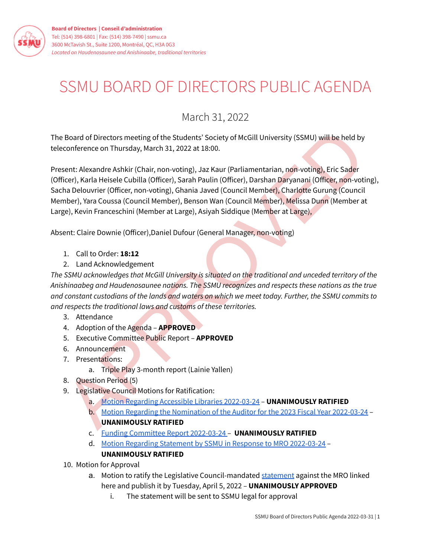

## SSMU BOARD OF DIRECTORS PUBLIC AGENDA

## March 31, 2022

The Board of Directors meeting of the Students' Society of McGill University (SSMU) will be held by teleconference on Thursday, March 31, 2022 at 18:00.

Board of Directors meeting of the Students' Society of McGill University (SSMU) will be held by<br>conference on Thursday, March 31, 2022 at 18:00.<br>
Sent: [A](https://ssmu.ca/wp-content/uploads/2022/03/Motion-Regarding-Accessible-Libraries-2022-03-24-Approved.pdf?x21981)lexandre Ashkir (Chair, non-voting), Jaz Kaur (Parliamentarian, non-v Present: Alexandre Ashkir (Chair, non-voting), Jaz Kaur (Parliamentarian, non-voting), Eric Sader (Officer), Karla Heisele Cubilla (Officer), Sarah Paulin (Officer), Darshan Daryanani (Officer, non-voting), Sacha Delouvrier (Officer, non-voting), Ghania Javed (Council Member), Charlotte Gurung (Council Member), Yara Coussa (Council Member), Benson Wan (Council Member), Melissa Dunn (Member at Large), Kevin Franceschini (Member at Large), Asiyah Siddique (Member at Large),

Absent: Claire Downie (Officer),Daniel Dufour (General Manager, non-voting)

- 1. Call to Order: **18:12**
- 2. Land Acknowledgement

*The SSMU acknowledges that McGill University is situated on the traditional and unceded territory of the Anishinaabeg and Haudenosaunee nations. The SSMU recognizes and respects these nations as the true* and constant custodians of the lands and waters on which we meet today. Further, the SSMU commits to *and respects the traditional laws and customs of these territories.*

- 3. Attendance
- 4. Adoption of the Agenda **APPROVED**
- 5. Executive Committee Public Report **APPROVED**
- 6. Announcement
- 7. Presentations:
	- a. Triple Play 3-month report (Lainie Yallen)
- 8. Question Period (5)
- 9. Legislative Council Motions for Ratification:
	- a. Motion Regarding Accessible Libraries 2022-03-24 **UNANIMOUSLY RATIFIED**
	- b. Motion Regarding the Nomination of the Auditor for the 2023 Fiscal Year 2022-03-24 -**UNANIMOUSLY RATIFIED**
	- c. Funding Committee Report 2022-03-24 **UNANIMOUSLY RATIFIED**
	- d. Motion Regarding Statement by SSMU in Response to MRO [2022-03-24](https://ssmu.ca/wp-content/uploads/2022/03/Motion-Regarding-Statement-by-SSMU-in-Response-to-MRO-2022-03-24-Approved.pdf?x21981) **UNANIMOUSLY RATIFIED**
- 10. Motion for Approval
	- a. Motion to ratify the Legislative Council-mandated [statement](https://docs.google.com/document/d/1oGOwByaTi2iM-REKntOM22pq3ijcfd3WYudMgOMzOGc/edit?usp=sharing) against the MRO linked here and publish it by Tuesday, April 5, 2022 – **UNANIMOUSLY APPROVED**
		- i. The statement will be sent to SSMU legal for approval